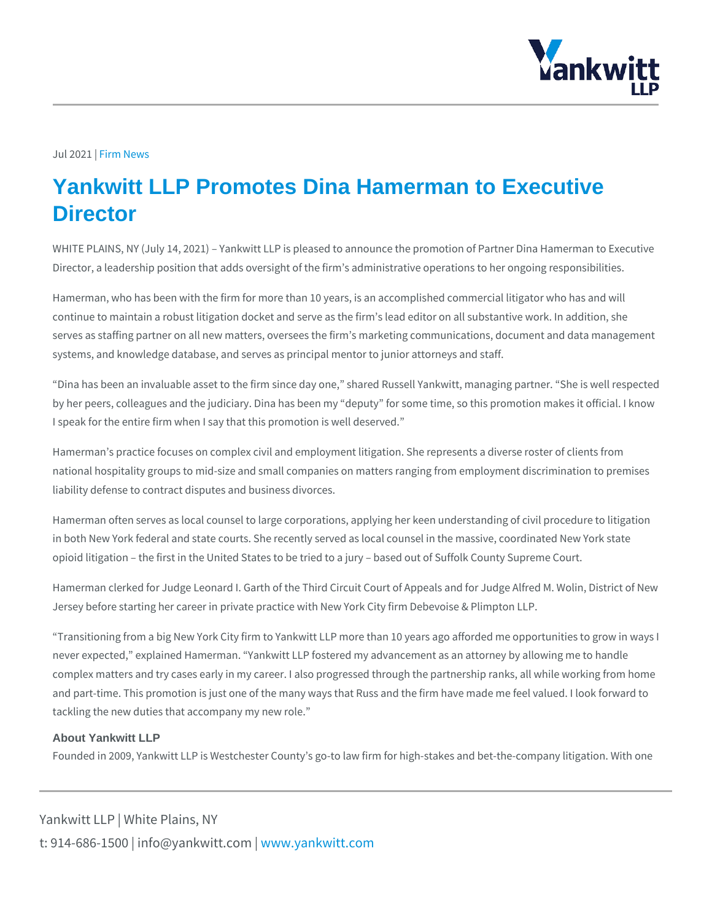## Jul 2021 In News

## Yankwitt LLP Promotes Dina Hamerman to Executive **Director**

WHITE PLAINS, NY (July 14, 2021) Yankwitt LLP is pleased to announce the promotion of Director, a leadership position that adds oversight of the firm s administrative o

Hamerman, who has been with the firm for more than 10 years, is an accomplishe continue to maintain a robust litigation docket and serve as the firm s lead edito serves as staffing partner on all new matters, oversees the firm s marketing com systems, and knowledge database, and serves as principal mentor to junior attor

Dina has been an invaluable asset to the firm since day one, shared Russell Ya by her peers, colleagues and the judiciary. Dina has been my deputy for some t I speak for the entire firm when I say that this promotion is well deserved.

Hamerman s practice focuses on complex civil and employment litigation. She represents and the complex client national hospitality groups to mid-size and small companies on matters ranging f liability defense to contract disputes and business divorces.

Hamerman often serves as local counsel to large corporations, applying her keen in both New York federal and state courts. She recently served as local counsel opioid litigation the first in the United States to be tried to a jury based out

Hamerman clerked for Judge Leonard I. Garth of the Third Circuit Court of Appea Jersey before starting her career in private practice with New York City firm Deb

Transitioning from a big New York City firm to Yankwitt LLP more than 10 years never expected, explained Hamerman. Yankwitt LLP fostered my advancement a complex matters and try cases early in my career. I also progressed through the and part-time. This promotion is just one of the many ways that Russ and the firi tackling the new duties that accompany my new role.

## About Yankwitt LLP

Founded in 2009, Yankwitt LLP is Westchester County s go-to law firm for high-s

Yankwitt LLP | White Plains, NY t:  $914 - 686 - 1500$  | info@y wawn ky wom intit wo interport on